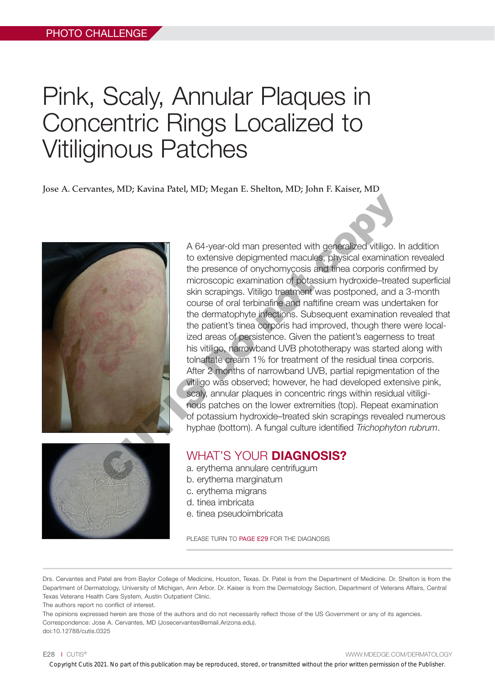## Pink, Scaly, Annular Plaques in Concentric Rings Localized to Vitiliginous Patches

Jose A. Cervantes, MD; Kavina Patel, MD; Megan E. Shelton, MD; John F. Kaiser, MD



A 64-year-old man presented with generalized vitiligo. In addition to extensive depigmented macules, physical examination revealed the presence of onychomycosis and tinea corporis confirmed by microscopic examination of potassium hydroxide–treated superficial skin scrapings. Vitiligo treatment was postponed, and a 3-month course of oral terbinafine and naftifine cream was undertaken for the dermatophyte infections. Subsequent examination revealed that the patient's tinea corporis had improved, though there were localized areas of persistence. Given the patient's eagerness to treat his vitiligo, narrowband UVB phototherapy was started along with tolnaftate cream 1% for treatment of the residual tinea corporis. After 2 months of narrowband UVB, partial repigmentation of the vitiligo was observed; however, he had developed extensive pink, scaly, annular plaques in concentric rings within residual vitiliginous patches on the lower extremities (top). Repeat examination of potassium hydroxide–treated skin scrapings revealed numerous hyphae (bottom). A fungal culture identified *Trichophyton rubrum*. A 64-year-old man presented with generalized vitiligo. It to extensive depigmented macules, physical examination the presence of onychomycosis and the acoporis commic microscopic examination of potassium hydroxide–treat so



## WHAT'S YOUR **DIAGNOSIS?**

- a. erythema annulare centrifugum
- b. erythema marginatum
- c. erythema migrans
- d. tinea imbricata
- e. tinea pseudoimbricata

PLEASE TURN TO PAGE E29 FOR THE DIAGNOSIS

Drs. Cervantes and Patel are from Baylor College of Medicine, Houston, Texas. Dr. Patel is from the Department of Medicine. Dr. Shelton is from the Department of Dermatology, University of Michigan, Ann Arbor. Dr. Kaiser is from the Dermatology Section, Department of Veterans Affairs, Central Texas Veterans Health Care System, Austin Outpatient Clinic.

The authors report no conflict of interest.

The opinions expressed herein are those of the authors and do not necessarily reflect those of the US Government or any of its agencies. Correspondence: Jose A. Cervantes, MD (Josecervantes@email.Arizona.edu). doi:10.12788/cutis.0325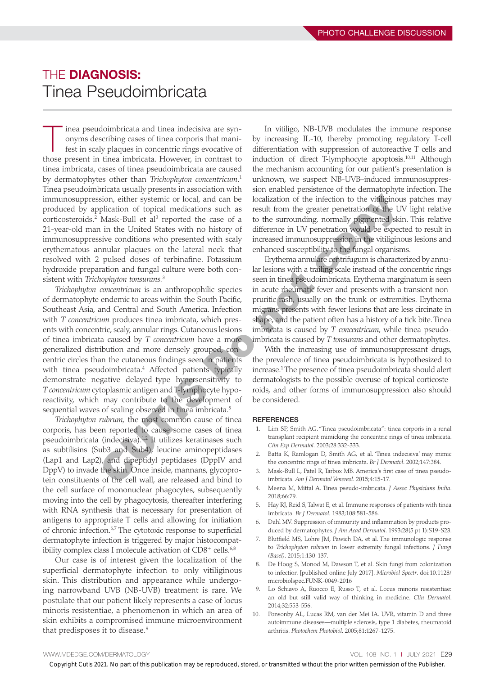## THE DIAGNOSIS: Tinea Pseudoimbricata

Tinea pseudoimbricata and tinea indecisiva are syn-<br>onyms describing cases of tinea corporis that mani-<br>fest in scaly plaques in concentric rings evocative of onyms describing cases of tinea corporis that manithose present in tinea imbricata. However, in contrast to tinea imbricata, cases of tinea pseudoimbricata are caused by dermatophytes other than *Trichophyton concentricum*. 1 Tinea pseudoimbricata usually presents in association with immunosuppression, either systemic or local, and can be produced by application of topical medications such as corticosteroids.<sup>2</sup> Mask-Bull et al<sup>3</sup> reported the case of a 21-year-old man in the United States with no history of immunosuppressive conditions who presented with scaly erythematous annular plaques on the lateral neck that resolved with 2 pulsed doses of terbinafine. Potassium hydroxide preparation and fungal culture were both consistent with *Trichophyton tonsurans.*<sup>3</sup>

*Trichophyton concentricum* is an anthropophilic species of dermatophyte endemic to areas within the South Pacific, Southeast Asia, and Central and South America. Infection with *T concentricum* produces tinea imbricata, which presents with concentric, scaly, annular rings. Cutaneous lesions of tinea imbricata caused by *T concentricum* have a more generalized distribution and more densely grouped, concentric circles than the cutaneous findings seen in patients with tinea pseudoimbricata.<sup>4</sup> Affected patients typically demonstrate negative delayed-type hypersensitivity to *T concentricum* cytoplasmic antigen and T-lymphocyte hyporeactivity, which may contribute to the development of sequential waves of scaling observed in tinea imbricata.<sup>5</sup> sion, either systemic or local, and can be localization of the infection to the vitiligino.<br>
plication of the place of a sease from the greente penetration of the UT and Mak-Bull et all reported the case of a to the surro

*Trichophyton rubrum,* the most common cause of tinea corporis, has been reported to cause some cases of tinea pseudoimbricata (indecisiva).<sup>1,2</sup> It utilizes keratinases such as subtilisins (Sub3 and Sub4), leucine aminopeptidases (Lap1 and Lap2), and dipeptidyl peptidases (DppIV and DppV) to invade the skin. Once inside, mannans, glycoprotein constituents of the cell wall, are released and bind to the cell surface of mononuclear phagocytes, subsequently moving into the cell by phagocytosis, thereafter interfering with RNA synthesis that is necessary for presentation of antigens to appropriate T cells and allowing for initiation of chronic infection.6,7 The cytotoxic response to superficial dermatophyte infection is triggered by major histocompatibility complex class I molecule activation of  $CD8^+$  cells.<sup>6,8</sup>

Our case is of interest given the localization of the superficial dermatophyte infection to only vitiliginous skin. This distribution and appearance while undergoing narrowband UVB (NB-UVB) treatment is rare. We postulate that our patient likely represents a case of locus minoris resistentiae, a phenomenon in which an area of skin exhibits a compromised immune microenvironment that predisposes it to disease.<sup>9</sup>

In vitiligo, NB-UVB modulates the immune response by increasing IL-10, thereby promoting regulatory T-cell differentiation with suppression of autoreactive T cells and induction of direct T-lymphocyte apoptosis.<sup>10,11</sup> Although the mechanism accounting for our patient's presentation is unknown, we suspect NB-UVB–induced immunosuppression enabled persistence of the dermatophyte infection. The localization of the infection to the vitiliginous patches may result from the greater penetration of the UV light relative to the surrounding, normally pigmented skin. This relative difference in UV penetration would be expected to result in increased immunosuppression in the vitiliginous lesions and enhanced susceptibility to the fungal organisms.

Erythema annulare centrifugum is characterized by annular lesions with a trailing scale instead of the concentric rings seen in tinea pseudoimbricata. Erythema marginatum is seen in acute rheumatic fever and presents with a transient nonpruritic rash, usually on the trunk or extremities. Erythema migrans presents with fewer lesions that are less circinate in shape, and the patient often has a history of a tick bite. Tinea imbricata is caused by *T concentricum*, while tinea pseudoimbricata is caused by *T tonsurans* and other dermatophytes.

With the increasing use of immunosuppressant drugs, the prevalence of tinea pseudoimbricata is hypothesized to increase.<sup>1</sup> The presence of tinea pseudoimbricata should alert dermatologists to the possible overuse of topical corticosteroids, and other forms of immunosuppression also should be considered.

## **REFERENCES**

- 1. Lim SP, Smith AG. "Tinea pseudoimbricata": tinea corporis in a renal transplant recipient mimicking the concentric rings of tinea imbricata. *Clin Exp Dermatol*. 2003;28:332-333.
- 2. Batta K, Ramlogan D, Smith AG, et al. 'Tinea indecisiva' may mimic the concentric rings of tinea imbricata. *Br J Dermatol*. 2002;147:384.
- 3. Mask-Bull L, Patel R, Tarbox MB. America's first case of tinea pseudoimbricata. *Am J Dermatol Venereol*. 2015;4:15-17.
- 4. Meena M, Mittal A. Tinea pseudo-imbricata. *J Assoc Physicians India*. 2018;66:79.
- 5. Hay RJ, Reid S, Talwat E, et al. Immune responses of patients with tinea imbricata. *Br J Dermatol.* 1983;108:581-586.
- 6. Dahl MV. Suppression of immunity and inflammation by products produced by dermatophytes. *J Am Acad Dermatol*. 1993;28(5 pt 1):S19-S23.
- 7. Blutfield MS, Lohre JM, Pawich DA, et al. The immunologic response to *Trichophyton rubrum* in lower extremity fungal infections. *J Fungi (Basel)*. 2015;1:130-137.
- 8. De Hoog S, Monod M, Dawson T, et al. Skin fungi from colonization to infection [published online July 2017]. *Microbiol Spectr*. doi:10.1128/ microbiolspec.FUNK-0049-2016
- Lo Schiavo A, Ruocco E, Russo T, et al. Locus minoris resistentiae: an old but still valid way of thinking in medicine. *Clin Dermatol*. 2014;32:553-556.
- 10. Ponsonby AL, Lucas RM, van der Mei IA. UVR, vitamin D and three autoimmune diseases—multiple sclerosis, type 1 diabetes, rheumatoid arthritis. *Photochem Photobiol*. 2005;81:1267-1275.

Copyright Cutis 2021. No part of this publication may be reproduced, stored, or transmitted without the prior written permission of the Publisher.